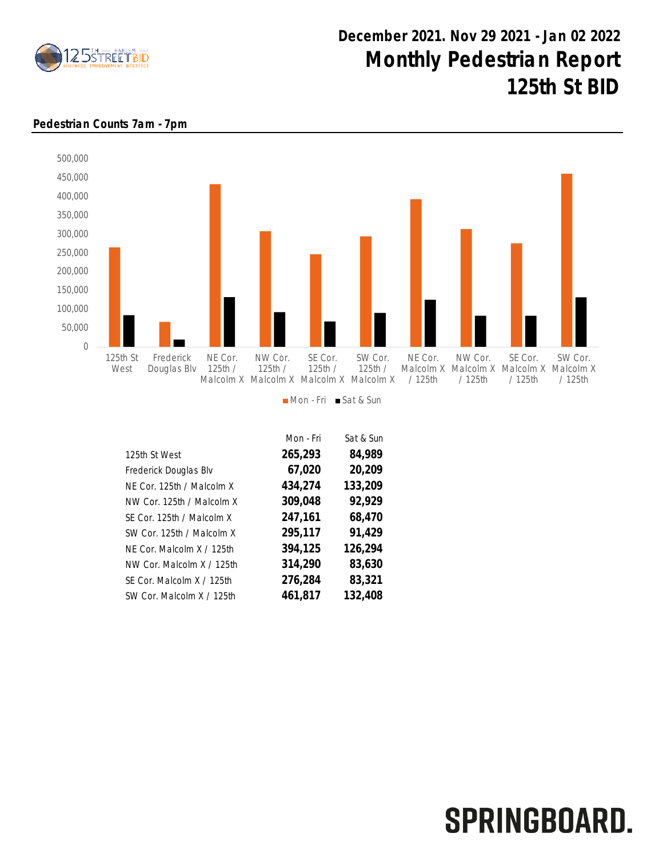

## December 2021. Nov 29 2021 - Jan 02 2022 Monthly Pedestrian Report 125th St BID

## Pedestrian Counts 7am - 7pm



|                           | Mon - Fri | Sat & Sun |
|---------------------------|-----------|-----------|
| 125th St West             | 265,293   | 84,989    |
| Frederick Douglas Blv     | 67,020    | 20,209    |
| NE Cor. 125th / Malcolm X | 434,274   | 133,209   |
| NW Cor. 125th / Malcolm X | 309,048   | 92,929    |
| SE Cor. 125th / Malcolm X | 247,161   | 68,470    |
| SW Cor. 125th / Malcolm X | 295,117   | 91,429    |
| NF Cor. Malcolm X / 125th | 394,125   | 126,294   |
| NW Cor. Malcolm X / 125th | 314,290   | 83,630    |
| SF Cor. Malcolm X / 125th | 276,284   | 83,321    |
| SW Cor. Malcolm X / 125th | 461,817   | 132,408   |

## SPRINGBOARD.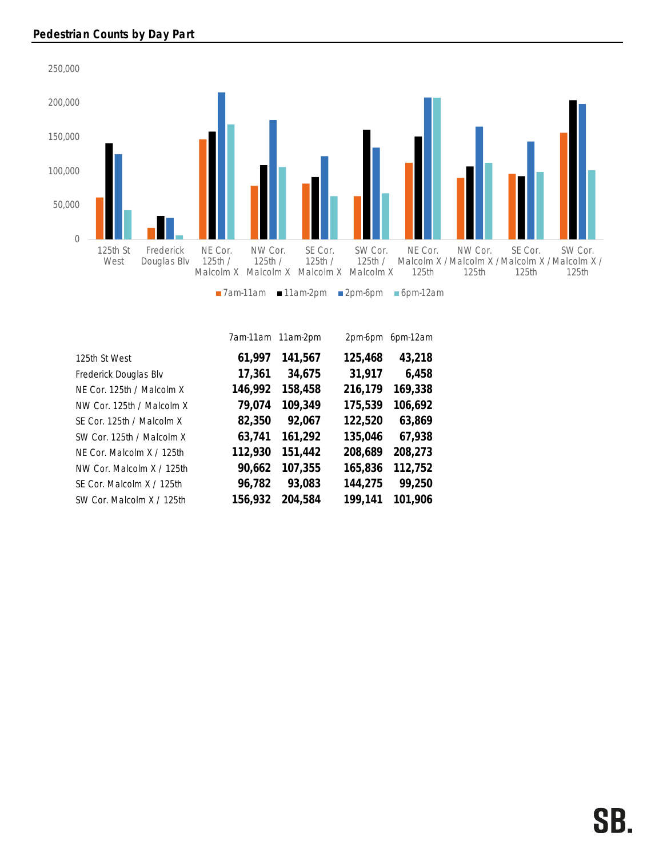

|                           |         | 7am-11am 11am-2pm | 2pm-6pm | 6pm-12am |
|---------------------------|---------|-------------------|---------|----------|
| 125th St West             | 61,997  | 141,567           | 125,468 | 43,218   |
| Frederick Douglas Blv     | 17,361  | 34,675            | 31,917  | 6,458    |
| NE Cor. 125th / Malcolm X | 146,992 | 158,458           | 216,179 | 169,338  |
| NW Cor. 125th / Malcolm X | 79,074  | 109,349           | 175,539 | 106,692  |
| SE Cor. 125th / Malcolm X | 82,350  | 92,067            | 122,520 | 63,869   |
| SW Cor. 125th / Malcolm X | 63,741  | 161,292           | 135,046 | 67,938   |
| NF Cor. Malcolm X / 125th | 112,930 | 151,442           | 208,689 | 208,273  |
| NW Cor. Malcolm X / 125th | 90,662  | 107,355           | 165,836 | 112,752  |
| SE Cor. Malcolm X / 125th | 96,782  | 93,083            | 144,275 | 99,250   |
| SW Cor. Malcolm X / 125th | 156,932 | 204,584           | 199.141 | 101,906  |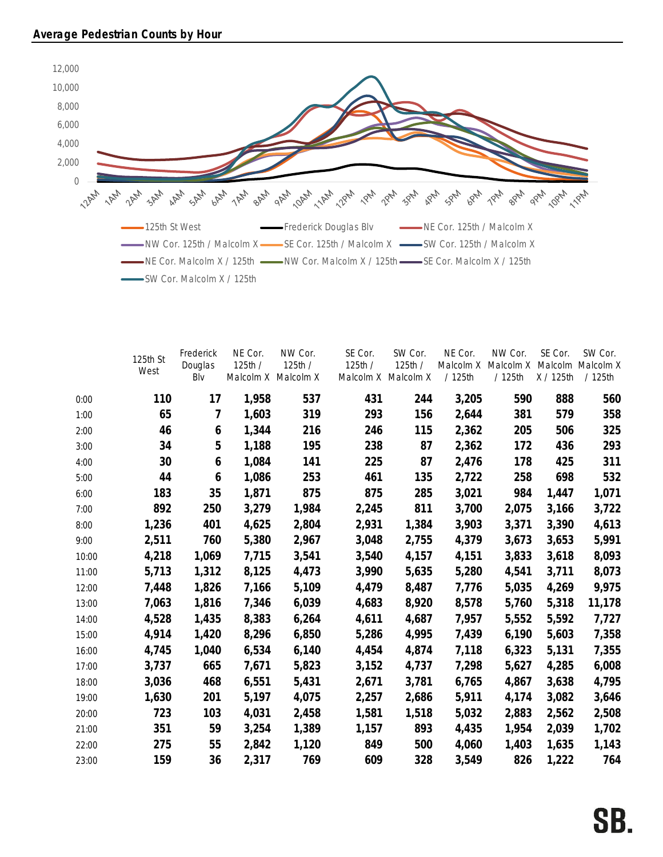

|       | 125th St<br>West | Frederick<br>Douglas<br>Blv | NE Cor.<br>125th/ | NW Cor.<br>125th /<br>Malcolm X Malcolm X | SE Cor.<br>125th / | SW Cor.<br>125th /<br>Malcolm X Malcolm X | NE Cor.<br>Malcolm X<br>/125th | NW Cor.<br>Malcolm X<br>/125th | SE Cor.<br>Malcolm<br>X / 125th | SW Cor.<br>Malcolm X<br>/125th |
|-------|------------------|-----------------------------|-------------------|-------------------------------------------|--------------------|-------------------------------------------|--------------------------------|--------------------------------|---------------------------------|--------------------------------|
| 0:00  | 110              | 17                          | 1,958             | 537                                       | 431                | 244                                       | 3,205                          | 590                            | 888                             | 560                            |
| 1:00  | 65               | 7                           | 1,603             | 319                                       | 293                | 156                                       | 2,644                          | 381                            | 579                             | 358                            |
| 2:00  | 46               | 6                           | 1,344             | 216                                       | 246                | 115                                       | 2,362                          | 205                            | 506                             | 325                            |
| 3:00  | 34               | 5                           | 1,188             | 195                                       | 238                | 87                                        | 2,362                          | 172                            | 436                             | 293                            |
| 4:00  | 30               | 6                           | 1,084             | 141                                       | 225                | 87                                        | 2,476                          | 178                            | 425                             | 311                            |
| 5:00  | 44               | 6                           | 1,086             | 253                                       | 461                | 135                                       | 2,722                          | 258                            | 698                             | 532                            |
| 6:00  | 183              | 35                          | 1,871             | 875                                       | 875                | 285                                       | 3,021                          | 984                            | 1,447                           | 1,071                          |
| 7:00  | 892              | 250                         | 3,279             | 1,984                                     | 2,245              | 811                                       | 3,700                          | 2,075                          | 3,166                           | 3,722                          |
| 8:00  | 1,236            | 401                         | 4,625             | 2,804                                     | 2,931              | 1,384                                     | 3,903                          | 3,371                          | 3,390                           | 4,613                          |
| 9:00  | 2,511            | 760                         | 5,380             | 2,967                                     | 3,048              | 2,755                                     | 4,379                          | 3,673                          | 3,653                           | 5,991                          |
| 10:00 | 4,218            | 1,069                       | 7,715             | 3,541                                     | 3,540              | 4,157                                     | 4,151                          | 3,833                          | 3,618                           | 8,093                          |
| 11:00 | 5,713            | 1,312                       | 8,125             | 4,473                                     | 3,990              | 5,635                                     | 5,280                          | 4,541                          | 3,711                           | 8,073                          |
| 12:00 | 7,448            | 1,826                       | 7,166             | 5,109                                     | 4,479              | 8,487                                     | 7,776                          | 5,035                          | 4,269                           | 9,975                          |
| 13:00 | 7,063            | 1,816                       | 7,346             | 6,039                                     | 4,683              | 8,920                                     | 8,578                          | 5,760                          | 5,318                           | 11,178                         |
| 14:00 | 4,528            | 1,435                       | 8,383             | 6,264                                     | 4,611              | 4,687                                     | 7,957                          | 5,552                          | 5,592                           | 7,727                          |
| 15:00 | 4,914            | 1,420                       | 8,296             | 6,850                                     | 5,286              | 4,995                                     | 7,439                          | 6,190                          | 5,603                           | 7,358                          |
| 16:00 | 4,745            | 1,040                       | 6,534             | 6,140                                     | 4,454              | 4,874                                     | 7,118                          | 6,323                          | 5,131                           | 7,355                          |
| 17:00 | 3,737            | 665                         | 7,671             | 5,823                                     | 3,152              | 4,737                                     | 7,298                          | 5,627                          | 4,285                           | 6,008                          |
| 18:00 | 3,036            | 468                         | 6,551             | 5,431                                     | 2,671              | 3,781                                     | 6,765                          | 4,867                          | 3,638                           | 4,795                          |
| 19:00 | 1,630            | 201                         | 5,197             | 4,075                                     | 2,257              | 2,686                                     | 5,911                          | 4,174                          | 3,082                           | 3,646                          |
| 20:00 | 723              | 103                         | 4,031             | 2,458                                     | 1,581              | 1,518                                     | 5,032                          | 2,883                          | 2,562                           | 2,508                          |
| 21:00 | 351              | 59                          | 3,254             | 1,389                                     | 1,157              | 893                                       | 4,435                          | 1,954                          | 2,039                           | 1,702                          |
| 22:00 | 275              | 55                          | 2,842             | 1,120                                     | 849                | 500                                       | 4,060                          | 1,403                          | 1,635                           | 1,143                          |
| 23:00 | 159              | 36                          | 2,317             | 769                                       | 609                | 328                                       | 3,549                          | 826                            | 1,222                           | 764                            |